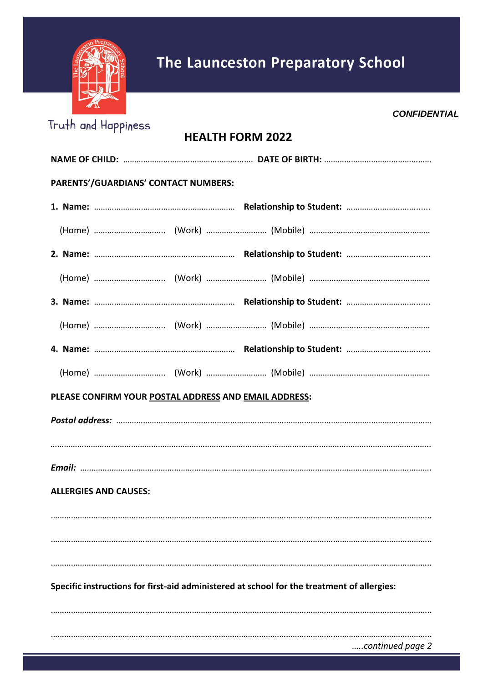

*CONFIDENTIAL*

| <b>HEALTH FORM 2022</b>      |                                                       |  |  |
|------------------------------|-------------------------------------------------------|--|--|
|                              |                                                       |  |  |
|                              | PARENTS'/GUARDIANS' CONTACT NUMBERS:                  |  |  |
|                              |                                                       |  |  |
|                              |                                                       |  |  |
|                              |                                                       |  |  |
|                              |                                                       |  |  |
|                              |                                                       |  |  |
|                              |                                                       |  |  |
|                              |                                                       |  |  |
|                              |                                                       |  |  |
|                              | PLEASE CONFIRM YOUR POSTAL ADDRESS AND EMAIL ADDRESS: |  |  |
|                              |                                                       |  |  |
|                              |                                                       |  |  |
|                              |                                                       |  |  |
| <b>ALLERGIES AND CAUSES:</b> |                                                       |  |  |
|                              |                                                       |  |  |
|                              |                                                       |  |  |

## **Specific instructions for first-aid administered at school for the treatment of allergies:**

…………………………………………………………………………………………………………………………………………………….. …………………………………………………………………………………………………………………………………………………….. *…..continued page 2*

……………………………………………………………………………………………………………………………………………………..